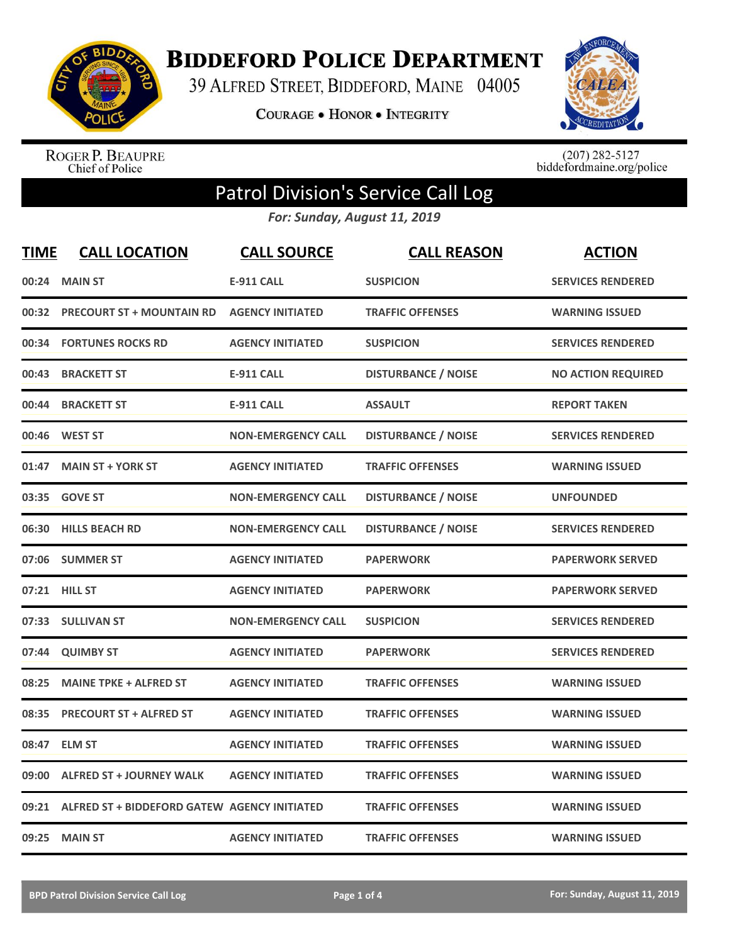

**BIDDEFORD POLICE DEPARTMENT** 

39 ALFRED STREET, BIDDEFORD, MAINE 04005

**COURAGE . HONOR . INTEGRITY** 



ROGER P. BEAUPRE<br>Chief of Police

 $(207)$  282-5127<br>biddefordmaine.org/police

## Patrol Division's Service Call Log

*For: Sunday, August 11, 2019*

| <b>TIME</b> | <b>CALL LOCATION</b>                               | <b>CALL SOURCE</b>        | <b>CALL REASON</b>         | <b>ACTION</b>             |
|-------------|----------------------------------------------------|---------------------------|----------------------------|---------------------------|
| 00:24       | <b>MAIN ST</b>                                     | <b>E-911 CALL</b>         | <b>SUSPICION</b>           | <b>SERVICES RENDERED</b>  |
| 00:32       | <b>PRECOURT ST + MOUNTAIN RD</b>                   | <b>AGENCY INITIATED</b>   | <b>TRAFFIC OFFENSES</b>    | <b>WARNING ISSUED</b>     |
| 00:34       | <b>FORTUNES ROCKS RD</b>                           | <b>AGENCY INITIATED</b>   | <b>SUSPICION</b>           | <b>SERVICES RENDERED</b>  |
| 00:43       | <b>BRACKETT ST</b>                                 | <b>E-911 CALL</b>         | <b>DISTURBANCE / NOISE</b> | <b>NO ACTION REQUIRED</b> |
| 00:44       | <b>BRACKETT ST</b>                                 | <b>E-911 CALL</b>         | <b>ASSAULT</b>             | <b>REPORT TAKEN</b>       |
|             | 00:46 WEST ST                                      | <b>NON-EMERGENCY CALL</b> | <b>DISTURBANCE / NOISE</b> | <b>SERVICES RENDERED</b>  |
| 01:47       | <b>MAIN ST + YORK ST</b>                           | <b>AGENCY INITIATED</b>   | <b>TRAFFIC OFFENSES</b>    | <b>WARNING ISSUED</b>     |
| 03:35       | <b>GOVE ST</b>                                     | <b>NON-EMERGENCY CALL</b> | <b>DISTURBANCE / NOISE</b> | <b>UNFOUNDED</b>          |
|             | 06:30 HILLS BEACH RD                               | <b>NON-EMERGENCY CALL</b> | <b>DISTURBANCE / NOISE</b> | <b>SERVICES RENDERED</b>  |
|             | 07:06 SUMMER ST                                    | <b>AGENCY INITIATED</b>   | <b>PAPERWORK</b>           | <b>PAPERWORK SERVED</b>   |
|             | 07:21 HILL ST                                      | <b>AGENCY INITIATED</b>   | <b>PAPERWORK</b>           | <b>PAPERWORK SERVED</b>   |
|             | 07:33 SULLIVAN ST                                  | <b>NON-EMERGENCY CALL</b> | <b>SUSPICION</b>           | <b>SERVICES RENDERED</b>  |
| 07:44       | <b>QUIMBY ST</b>                                   | <b>AGENCY INITIATED</b>   | <b>PAPERWORK</b>           | <b>SERVICES RENDERED</b>  |
| 08:25       | <b>MAINE TPKE + ALFRED ST</b>                      | <b>AGENCY INITIATED</b>   | <b>TRAFFIC OFFENSES</b>    | <b>WARNING ISSUED</b>     |
| 08:35       | <b>PRECOURT ST + ALFRED ST</b>                     | <b>AGENCY INITIATED</b>   | <b>TRAFFIC OFFENSES</b>    | <b>WARNING ISSUED</b>     |
| 08:47       | <b>ELM ST</b>                                      | <b>AGENCY INITIATED</b>   | <b>TRAFFIC OFFENSES</b>    | <b>WARNING ISSUED</b>     |
| 09:00       | <b>ALFRED ST + JOURNEY WALK</b>                    | <b>AGENCY INITIATED</b>   | <b>TRAFFIC OFFENSES</b>    | <b>WARNING ISSUED</b>     |
|             | 09:21 ALFRED ST + BIDDEFORD GATEW AGENCY INITIATED |                           | <b>TRAFFIC OFFENSES</b>    | <b>WARNING ISSUED</b>     |
|             | 09:25 MAIN ST                                      | <b>AGENCY INITIATED</b>   | <b>TRAFFIC OFFENSES</b>    | <b>WARNING ISSUED</b>     |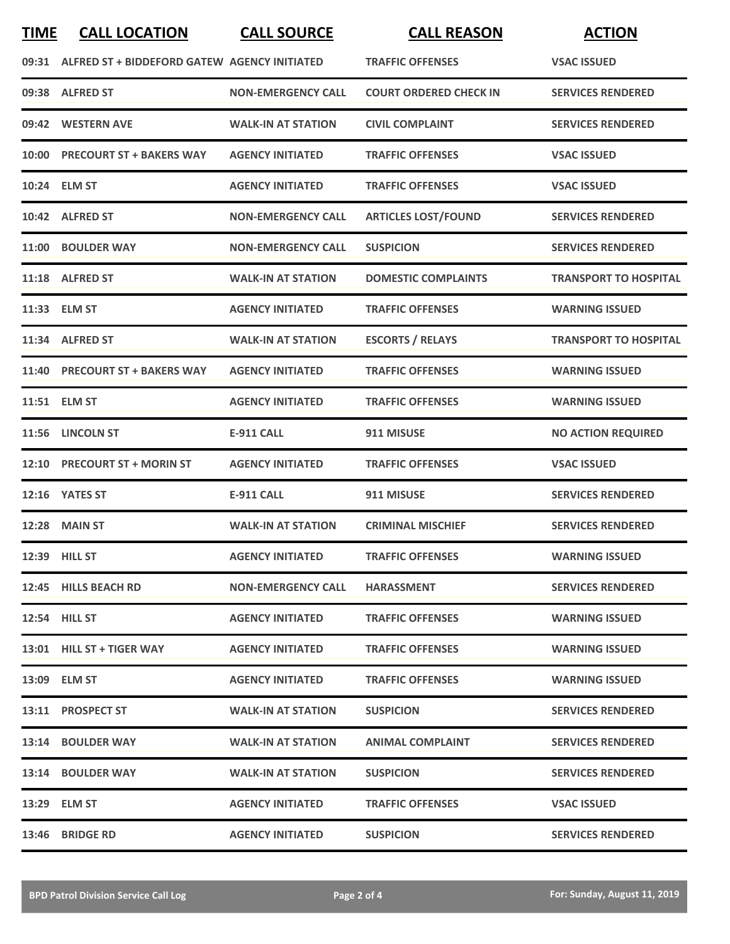| <b>TIME</b> | <b>CALL LOCATION</b>                               | <b>CALL SOURCE</b>        | <b>CALL REASON</b>            | <b>ACTION</b>                |
|-------------|----------------------------------------------------|---------------------------|-------------------------------|------------------------------|
|             | 09:31 ALFRED ST + BIDDEFORD GATEW AGENCY INITIATED |                           | <b>TRAFFIC OFFENSES</b>       | <b>VSAC ISSUED</b>           |
|             | 09:38 ALFRED ST                                    | <b>NON-EMERGENCY CALL</b> | <b>COURT ORDERED CHECK IN</b> | <b>SERVICES RENDERED</b>     |
|             | 09:42 WESTERN AVE                                  | <b>WALK-IN AT STATION</b> | <b>CIVIL COMPLAINT</b>        | <b>SERVICES RENDERED</b>     |
| 10:00       | <b>PRECOURT ST + BAKERS WAY</b>                    | <b>AGENCY INITIATED</b>   | <b>TRAFFIC OFFENSES</b>       | <b>VSAC ISSUED</b>           |
|             | 10:24 ELM ST                                       | <b>AGENCY INITIATED</b>   | <b>TRAFFIC OFFENSES</b>       | <b>VSAC ISSUED</b>           |
|             | 10:42 ALFRED ST                                    | <b>NON-EMERGENCY CALL</b> | <b>ARTICLES LOST/FOUND</b>    | <b>SERVICES RENDERED</b>     |
|             | 11:00 BOULDER WAY                                  | <b>NON-EMERGENCY CALL</b> | <b>SUSPICION</b>              | <b>SERVICES RENDERED</b>     |
|             | 11:18 ALFRED ST                                    | <b>WALK-IN AT STATION</b> | <b>DOMESTIC COMPLAINTS</b>    | <b>TRANSPORT TO HOSPITAL</b> |
|             | 11:33 ELM ST                                       | <b>AGENCY INITIATED</b>   | <b>TRAFFIC OFFENSES</b>       | <b>WARNING ISSUED</b>        |
|             | 11:34 ALFRED ST                                    | <b>WALK-IN AT STATION</b> | <b>ESCORTS / RELAYS</b>       | <b>TRANSPORT TO HOSPITAL</b> |
|             | 11:40 PRECOURT ST + BAKERS WAY                     | <b>AGENCY INITIATED</b>   | <b>TRAFFIC OFFENSES</b>       | <b>WARNING ISSUED</b>        |
|             | 11:51 ELM ST                                       | <b>AGENCY INITIATED</b>   | <b>TRAFFIC OFFENSES</b>       | <b>WARNING ISSUED</b>        |
|             | 11:56 LINCOLN ST                                   | <b>E-911 CALL</b>         | 911 MISUSE                    | <b>NO ACTION REQUIRED</b>    |
|             | 12:10 PRECOURT ST + MORIN ST                       | <b>AGENCY INITIATED</b>   | <b>TRAFFIC OFFENSES</b>       | <b>VSAC ISSUED</b>           |
|             | 12:16 YATES ST                                     | <b>E-911 CALL</b>         | 911 MISUSE                    | <b>SERVICES RENDERED</b>     |
|             | <b>12:28 MAIN ST</b>                               | <b>WALK-IN AT STATION</b> | <b>CRIMINAL MISCHIEF</b>      | <b>SERVICES RENDERED</b>     |
|             | 12:39 HILL ST                                      | <b>AGENCY INITIATED</b>   | <b>TRAFFIC OFFENSES</b>       | <b>WARNING ISSUED</b>        |
|             | 12:45 HILLS BEACH RD                               | <b>NON-EMERGENCY CALL</b> | <b>HARASSMENT</b>             | <b>SERVICES RENDERED</b>     |
|             | <b>12:54 HILL ST</b>                               | <b>AGENCY INITIATED</b>   | <b>TRAFFIC OFFENSES</b>       | <b>WARNING ISSUED</b>        |
|             | 13:01 HILL ST + TIGER WAY                          | <b>AGENCY INITIATED</b>   | <b>TRAFFIC OFFENSES</b>       | <b>WARNING ISSUED</b>        |
|             | 13:09 ELM ST                                       | <b>AGENCY INITIATED</b>   | <b>TRAFFIC OFFENSES</b>       | <b>WARNING ISSUED</b>        |
|             | 13:11 PROSPECT ST                                  | <b>WALK-IN AT STATION</b> | <b>SUSPICION</b>              | <b>SERVICES RENDERED</b>     |
|             | 13:14 BOULDER WAY                                  | <b>WALK-IN AT STATION</b> | <b>ANIMAL COMPLAINT</b>       | <b>SERVICES RENDERED</b>     |
|             | 13:14 BOULDER WAY                                  | <b>WALK-IN AT STATION</b> | <b>SUSPICION</b>              | <b>SERVICES RENDERED</b>     |
|             | 13:29 ELM ST                                       | <b>AGENCY INITIATED</b>   | <b>TRAFFIC OFFENSES</b>       | <b>VSAC ISSUED</b>           |
| 13:46       | <b>BRIDGE RD</b>                                   | <b>AGENCY INITIATED</b>   | <b>SUSPICION</b>              | <b>SERVICES RENDERED</b>     |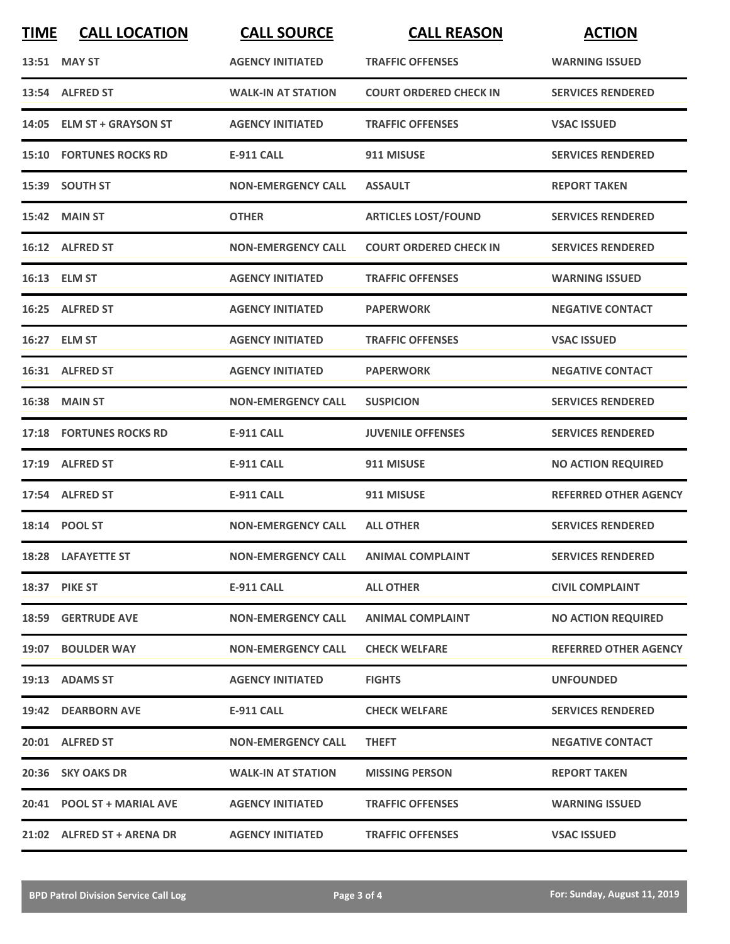| <b>TIME</b> | <b>CALL LOCATION</b>           | <b>CALL SOURCE</b>                  | <b>CALL REASON</b>            | <b>ACTION</b>                |
|-------------|--------------------------------|-------------------------------------|-------------------------------|------------------------------|
|             | 13:51 MAY ST                   | <b>AGENCY INITIATED</b>             | <b>TRAFFIC OFFENSES</b>       | <b>WARNING ISSUED</b>        |
|             | 13:54 ALFRED ST                | <b>WALK-IN AT STATION</b>           | <b>COURT ORDERED CHECK IN</b> | <b>SERVICES RENDERED</b>     |
|             | 14:05 ELM ST + GRAYSON ST      | <b>AGENCY INITIATED</b>             | <b>TRAFFIC OFFENSES</b>       | <b>VSAC ISSUED</b>           |
|             | <b>15:10 FORTUNES ROCKS RD</b> | <b>E-911 CALL</b>                   | 911 MISUSE                    | <b>SERVICES RENDERED</b>     |
|             | 15:39 SOUTH ST                 | <b>NON-EMERGENCY CALL</b>           | <b>ASSAULT</b>                | <b>REPORT TAKEN</b>          |
|             | 15:42 MAIN ST                  | <b>OTHER</b>                        | <b>ARTICLES LOST/FOUND</b>    | <b>SERVICES RENDERED</b>     |
|             | 16:12 ALFRED ST                | <b>NON-EMERGENCY CALL</b>           | <b>COURT ORDERED CHECK IN</b> | <b>SERVICES RENDERED</b>     |
|             | 16:13 ELM ST                   | <b>AGENCY INITIATED</b>             | <b>TRAFFIC OFFENSES</b>       | <b>WARNING ISSUED</b>        |
|             | 16:25 ALFRED ST                | <b>AGENCY INITIATED</b>             | <b>PAPERWORK</b>              | <b>NEGATIVE CONTACT</b>      |
|             | 16:27 ELM ST                   | <b>AGENCY INITIATED</b>             | <b>TRAFFIC OFFENSES</b>       | <b>VSAC ISSUED</b>           |
|             | 16:31 ALFRED ST                | <b>AGENCY INITIATED</b>             | <b>PAPERWORK</b>              | <b>NEGATIVE CONTACT</b>      |
|             | <b>16:38 MAIN ST</b>           | <b>NON-EMERGENCY CALL</b>           | <b>SUSPICION</b>              | <b>SERVICES RENDERED</b>     |
|             | <b>17:18 FORTUNES ROCKS RD</b> | <b>E-911 CALL</b>                   | <b>JUVENILE OFFENSES</b>      | <b>SERVICES RENDERED</b>     |
|             | 17:19 ALFRED ST                | <b>E-911 CALL</b>                   | 911 MISUSE                    | <b>NO ACTION REQUIRED</b>    |
|             | 17:54 ALFRED ST                | <b>E-911 CALL</b>                   | 911 MISUSE                    | <b>REFERRED OTHER AGENCY</b> |
|             | 18:14 POOL ST                  | <b>NON-EMERGENCY CALL</b>           | <b>ALL OTHER</b>              | <b>SERVICES RENDERED</b>     |
|             | 18:28 LAFAYETTE ST             | NON-EMERGENCY CALL ANIMAL COMPLAINT |                               | <b>SERVICES RENDERED</b>     |
|             | 18:37 PIKE ST                  | E-911 CALL                          | <b>ALL OTHER</b>              | <b>CIVIL COMPLAINT</b>       |
|             | <b>18:59 GERTRUDE AVE</b>      | <b>NON-EMERGENCY CALL</b>           | <b>ANIMAL COMPLAINT</b>       | <b>NO ACTION REQUIRED</b>    |
|             | 19:07 BOULDER WAY              | <b>NON-EMERGENCY CALL</b>           | <b>CHECK WELFARE</b>          | <b>REFERRED OTHER AGENCY</b> |
|             | 19:13 ADAMS ST                 | <b>AGENCY INITIATED</b>             | <b>FIGHTS</b>                 | <b>UNFOUNDED</b>             |
|             | 19:42 DEARBORN AVE             | E-911 CALL                          | <b>CHECK WELFARE</b>          | <b>SERVICES RENDERED</b>     |
|             | 20:01 ALFRED ST                | <b>NON-EMERGENCY CALL</b>           | <b>THEFT</b>                  | <b>NEGATIVE CONTACT</b>      |
|             | 20:36 SKY OAKS DR              | <b>WALK-IN AT STATION</b>           | <b>MISSING PERSON</b>         | <b>REPORT TAKEN</b>          |
|             | 20:41 POOL ST + MARIAL AVE     | <b>AGENCY INITIATED</b>             | <b>TRAFFIC OFFENSES</b>       | <b>WARNING ISSUED</b>        |
|             | 21:02 ALFRED ST + ARENA DR     | <b>AGENCY INITIATED</b>             | <b>TRAFFIC OFFENSES</b>       | <b>VSAC ISSUED</b>           |